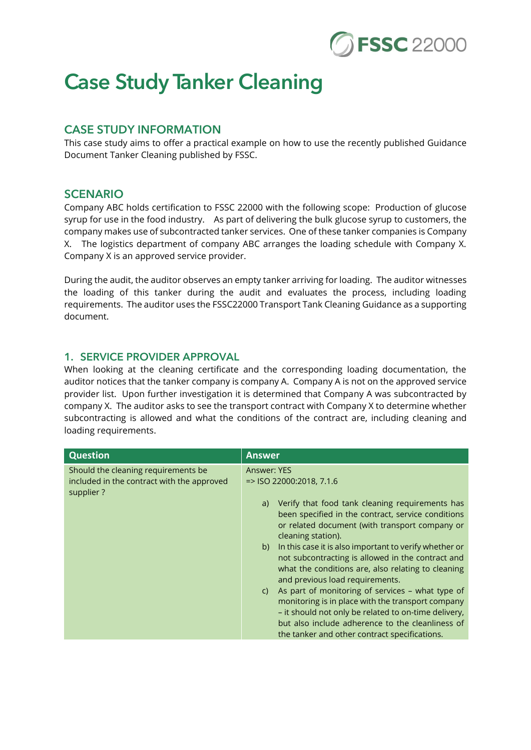

# Case Study Tanker Cleaning

## CASE STUDY INFORMATION

This case study aims to offer a practical example on how to use the recently published Guidance Document Tanker Cleaning published by FSSC.

#### **SCENARIO**

Company ABC holds certification to FSSC 22000 with the following scope: Production of glucose syrup for use in the food industry. As part of delivering the bulk glucose syrup to customers, the company makes use of subcontracted tanker services. One of these tanker companies is Company X. The logistics department of company ABC arranges the loading schedule with Company X. Company X is an approved service provider.

During the audit, the auditor observes an empty tanker arriving for loading. The auditor witnesses the loading of this tanker during the audit and evaluates the process, including loading requirements. The auditor uses the FSSC22000 Transport Tank Cleaning Guidance as a supporting document.

#### 1. SERVICE PROVIDER APPROVAL

When looking at the cleaning certificate and the corresponding loading documentation, the auditor notices that the tanker company is company A. Company A is not on the approved service provider list. Upon further investigation it is determined that Company A was subcontracted by company X. The auditor asks to see the transport contract with Company X to determine whether subcontracting is allowed and what the conditions of the contract are, including cleaning and loading requirements.

| <b>Question</b>                                                                                | <b>Answer</b>                                                                                                                                                                                                                                                                                                                                                                                                                                                                                                                                                                                                                                                                                                         |
|------------------------------------------------------------------------------------------------|-----------------------------------------------------------------------------------------------------------------------------------------------------------------------------------------------------------------------------------------------------------------------------------------------------------------------------------------------------------------------------------------------------------------------------------------------------------------------------------------------------------------------------------------------------------------------------------------------------------------------------------------------------------------------------------------------------------------------|
| Should the cleaning requirements be<br>included in the contract with the approved<br>supplier? | Answer: YES<br>$=$ SO 22000:2018, 7.1.6<br>Verify that food tank cleaning requirements has<br>a)<br>been specified in the contract, service conditions<br>or related document (with transport company or<br>cleaning station).<br>b) In this case it is also important to verify whether or<br>not subcontracting is allowed in the contract and<br>what the conditions are, also relating to cleaning<br>and previous load requirements.<br>As part of monitoring of services - what type of<br>C)<br>monitoring is in place with the transport company<br>- it should not only be related to on-time delivery,<br>but also include adherence to the cleanliness of<br>the tanker and other contract specifications. |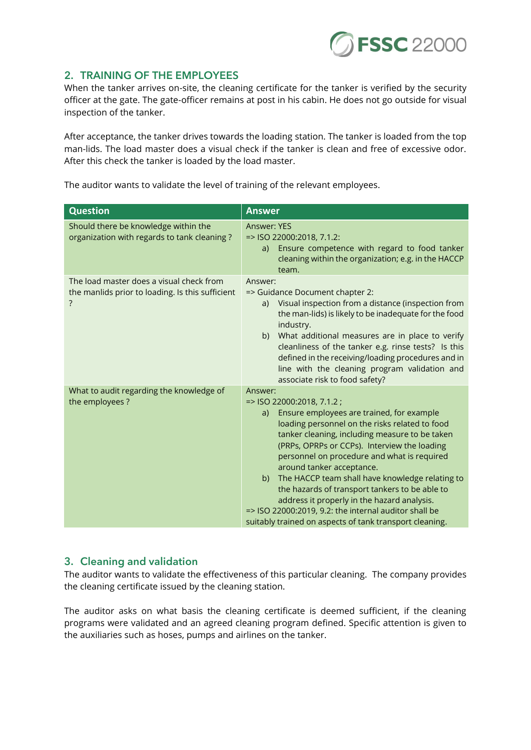

#### 2. TRAINING OF THE EMPLOYEES

When the tanker arrives on-site, the cleaning certificate for the tanker is verified by the security officer at the gate. The gate-officer remains at post in his cabin. He does not go outside for visual inspection of the tanker.

After acceptance, the tanker drives towards the loading station. The tanker is loaded from the top man-lids. The load master does a visual check if the tanker is clean and free of excessive odor. After this check the tanker is loaded by the load master.

The auditor wants to validate the level of training of the relevant employees.

| <b>Question</b>                                                                              | <b>Answer</b>                                                                                                                                                                                                                                                                                                                                                                                                                                                                                                                                                                                      |
|----------------------------------------------------------------------------------------------|----------------------------------------------------------------------------------------------------------------------------------------------------------------------------------------------------------------------------------------------------------------------------------------------------------------------------------------------------------------------------------------------------------------------------------------------------------------------------------------------------------------------------------------------------------------------------------------------------|
| Should there be knowledge within the<br>organization with regards to tank cleaning?          | Answer: YES<br>=> ISO 22000:2018, 7.1.2:<br>Ensure competence with regard to food tanker<br>a)<br>cleaning within the organization; e.g. in the HACCP<br>team.                                                                                                                                                                                                                                                                                                                                                                                                                                     |
| The load master does a visual check from<br>the manlids prior to loading. Is this sufficient | Answer:<br>=> Guidance Document chapter 2:<br>Visual inspection from a distance (inspection from<br>a)<br>the man-lids) is likely to be inadequate for the food<br>industry.<br>b) What additional measures are in place to verify<br>cleanliness of the tanker e.g. rinse tests? Is this<br>defined in the receiving/loading procedures and in<br>line with the cleaning program validation and<br>associate risk to food safety?                                                                                                                                                                 |
| What to audit regarding the knowledge of<br>the employees?                                   | Answer:<br>=> ISO 22000:2018, 7.1.2;<br>Ensure employees are trained, for example<br>a)<br>loading personnel on the risks related to food<br>tanker cleaning, including measure to be taken<br>(PRPs, OPRPs or CCPs). Interview the loading<br>personnel on procedure and what is required<br>around tanker acceptance.<br>b) The HACCP team shall have knowledge relating to<br>the hazards of transport tankers to be able to<br>address it properly in the hazard analysis.<br>=> ISO 22000:2019, 9.2: the internal auditor shall be<br>suitably trained on aspects of tank transport cleaning. |

## 3. Cleaning and validation

The auditor wants to validate the effectiveness of this particular cleaning. The company provides the cleaning certificate issued by the cleaning station.

The auditor asks on what basis the cleaning certificate is deemed sufficient, if the cleaning programs were validated and an agreed cleaning program defined. Specific attention is given to the auxiliaries such as hoses, pumps and airlines on the tanker.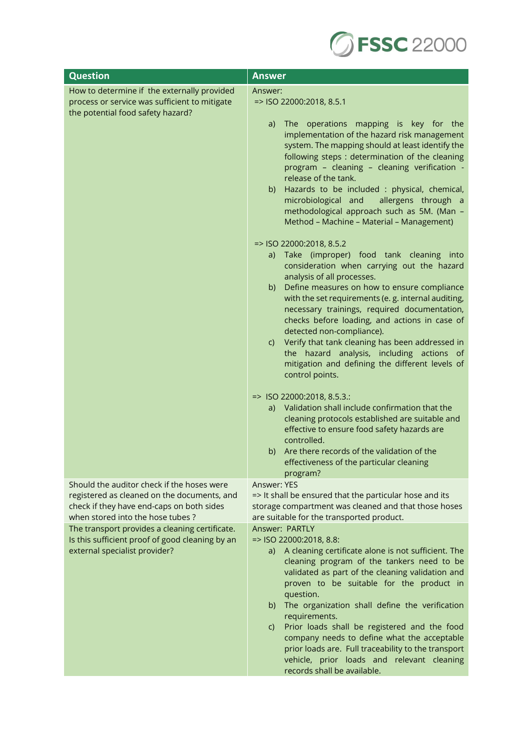

| <b>Question</b>                                                                                                                                                            | <b>Answer</b>                                                                                                                                                                                                                                                                                                                                                                                                                                                                                                                                                                                                                                                                                                                                                                                                                                                                                                                                                                                                             |
|----------------------------------------------------------------------------------------------------------------------------------------------------------------------------|---------------------------------------------------------------------------------------------------------------------------------------------------------------------------------------------------------------------------------------------------------------------------------------------------------------------------------------------------------------------------------------------------------------------------------------------------------------------------------------------------------------------------------------------------------------------------------------------------------------------------------------------------------------------------------------------------------------------------------------------------------------------------------------------------------------------------------------------------------------------------------------------------------------------------------------------------------------------------------------------------------------------------|
| How to determine if the externally provided<br>process or service was sufficient to mitigate<br>the potential food safety hazard?                                          | Answer:<br>=> ISO 22000:2018, 8.5.1<br>The operations mapping is key for the<br>a)<br>implementation of the hazard risk management<br>system. The mapping should at least identify the<br>following steps : determination of the cleaning<br>program - cleaning - cleaning verification -<br>release of the tank.<br>Hazards to be included : physical, chemical,<br>b)<br>microbiological and<br>allergens through a<br>methodological approach such as 5M. (Man -<br>Method - Machine - Material - Management)<br>=> ISO 22000:2018, 8.5.2<br>Take (improper) food tank cleaning into<br>a)<br>consideration when carrying out the hazard<br>analysis of all processes.<br>Define measures on how to ensure compliance<br>b)<br>with the set requirements (e. g. internal auditing,<br>necessary trainings, required documentation,<br>checks before loading, and actions in case of<br>detected non-compliance).<br>Verify that tank cleaning has been addressed in<br>C)<br>the hazard analysis, including actions of |
|                                                                                                                                                                            | mitigation and defining the different levels of<br>control points.<br>=> ISO 22000:2018, 8.5.3.:<br>a) Validation shall include confirmation that the<br>cleaning protocols established are suitable and<br>effective to ensure food safety hazards are<br>controlled.<br>Are there records of the validation of the<br>b)<br>effectiveness of the particular cleaning                                                                                                                                                                                                                                                                                                                                                                                                                                                                                                                                                                                                                                                    |
| Should the auditor check if the hoses were<br>registered as cleaned on the documents, and<br>check if they have end-caps on both sides<br>when stored into the hose tubes? | program?<br>Answer: YES<br>=> It shall be ensured that the particular hose and its<br>storage compartment was cleaned and that those hoses<br>are suitable for the transported product.                                                                                                                                                                                                                                                                                                                                                                                                                                                                                                                                                                                                                                                                                                                                                                                                                                   |
| The transport provides a cleaning certificate.<br>Is this sufficient proof of good cleaning by an<br>external specialist provider?                                         | Answer: PARTLY<br>=> ISO 22000:2018, 8.8:<br>a) A cleaning certificate alone is not sufficient. The<br>cleaning program of the tankers need to be<br>validated as part of the cleaning validation and<br>proven to be suitable for the product in<br>question.<br>The organization shall define the verification<br>b)<br>requirements.<br>Prior loads shall be registered and the food<br>$\mathsf{C}$<br>company needs to define what the acceptable<br>prior loads are. Full traceability to the transport<br>vehicle, prior loads and relevant cleaning<br>records shall be available.                                                                                                                                                                                                                                                                                                                                                                                                                                |